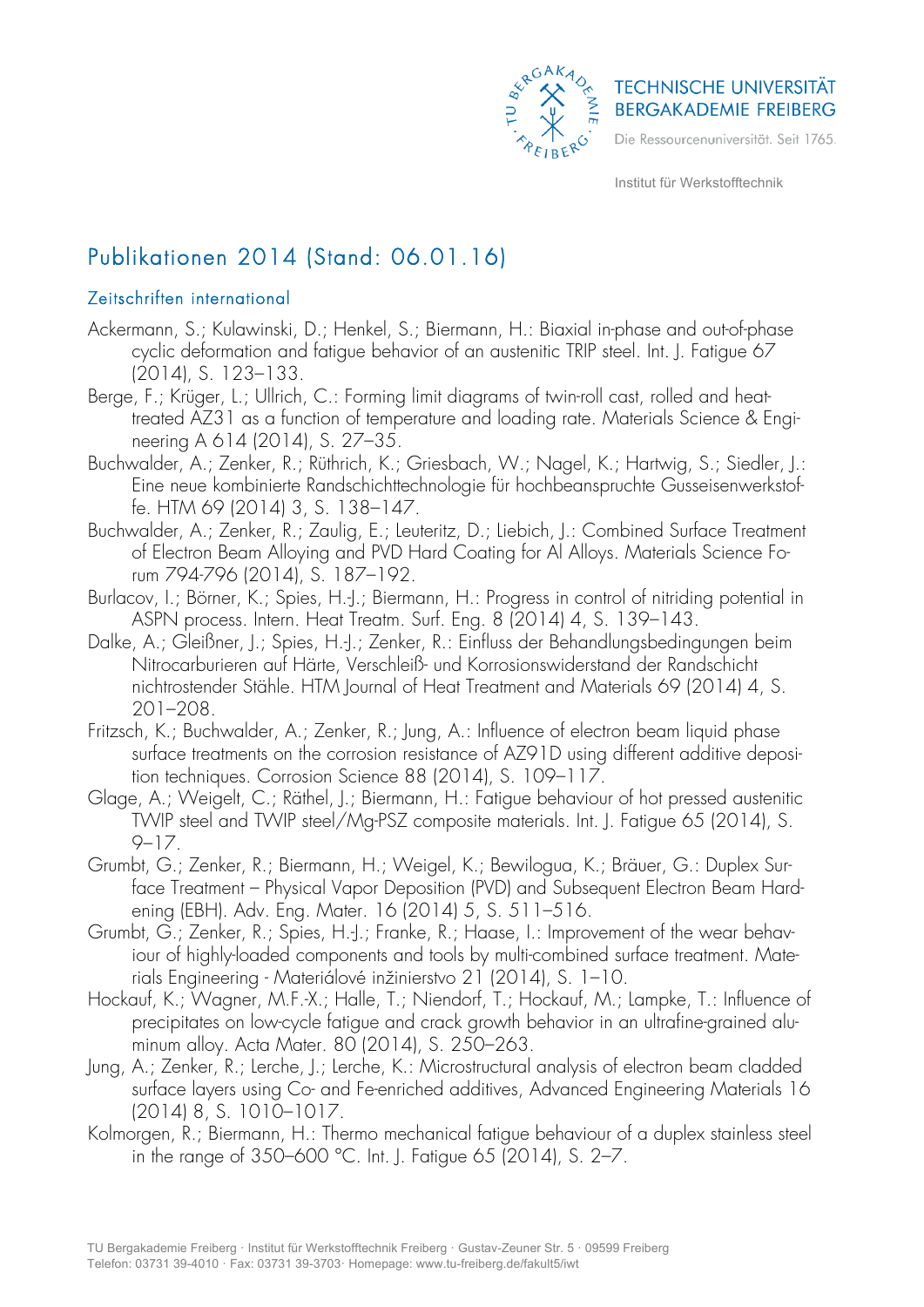

# Publikationen 2014 (Stand: 06.01.16)

### Zeitschriften international

- Ackermann, S.; Kulawinski, D.; Henkel, S.; Biermann, H.: Biaxial in-phase and out-of-phase cyclic deformation and fatigue behavior of an austenitic TRIP steel. Int. J. Fatigue 67 (2014), S. 123–133.
- Berge, F.; Krüger, L.; Ullrich, C.: Forming limit diagrams of twin-roll cast, rolled and heattreated AZ31 as a function of temperature and loading rate. Materials Science & Engineering A 614 (2014), S. 27–35.
- Buchwalder, A.; Zenker, R.; Rüthrich, K.; Griesbach, W.; Nagel, K.; Hartwig, S.; Siedler, J.: Eine neue kombinierte Randschichttechnologie für hochbeanspruchte Gusseisenwerkstoffe. HTM 69 (2014) 3, S. 138–147.
- Buchwalder, A.; Zenker, R.; Zaulig, E.; Leuteritz, D.; Liebich, J.: Combined Surface Treatment of Electron Beam Alloying and PVD Hard Coating for Al Alloys. Materials Science Forum 794-796 (2014), S. 187–192.
- Burlacov, I.; Börner, K.; Spies, H.-J.; Biermann, H.: Progress in control of nitriding potential in ASPN process. Intern. Heat Treatm. Surf. Eng. 8 (2014) 4, S. 139–143.
- Dalke, A.; Gleißner, J.; Spies, H.-J.; Zenker, R.: Einfluss der Behandlungsbedingungen beim Nitrocarburieren auf Härte, Verschleiß- und Korrosionswiderstand der Randschicht nichtrostender Stähle. HTM Journal of Heat Treatment and Materials 69 (2014) 4, S. 201–208.
- Fritzsch, K.; Buchwalder, A.; Zenker, R.; Jung, A.: Influence of electron beam liquid phase surface treatments on the corrosion resistance of AZ91D using different additive deposition techniques. Corrosion Science 88 (2014), S. 109–117.
- Glage, A.; Weigelt, C.; Räthel, J.; Biermann, H.: Fatigue behaviour of hot pressed austenitic TWIP steel and TWIP steel/Mg-PSZ composite materials. Int. J. Fatigue 65 (2014), S. 9–17.
- Grumbt, G.; Zenker, R.; Biermann, H.; Weigel, K.; Bewilogua, K.; Bräuer, G.: Duplex Surface Treatment – Physical Vapor Deposition (PVD) and Subsequent Electron Beam Hardening (EBH). Adv. Eng. Mater. 16 (2014) 5, S. 511–516.
- Grumbt, G.; Zenker, R.; Spies, H.-J.; Franke, R.; Haase, I.: Improvement of the wear behaviour of highly-loaded components and tools by multi-combined surface treatment. Materials Engineering - Materiálové inžinierstvo 21 (2014), S. 1–10.
- Hockauf, K.; Wagner, M.F.-X.; Halle, T.; Niendorf, T.; Hockauf, M.; Lampke, T.: Influence of precipitates on low-cycle fatigue and crack growth behavior in an ultrafine-grained aluminum alloy. Acta Mater. 80 (2014), S. 250–263.
- Jung, A.; Zenker, R.; Lerche, J.; Lerche, K.: Microstructural analysis of electron beam cladded surface layers using Co- and Fe-enriched additives, Advanced Engineering Materials 16 (2014) 8, S. 1010–1017.
- Kolmorgen, R.; Biermann, H.: Thermo mechanical fatigue behaviour of a duplex stainless steel in the range of 350–600 °C. Int. J. Fatigue 65 (2014), S. 2–7.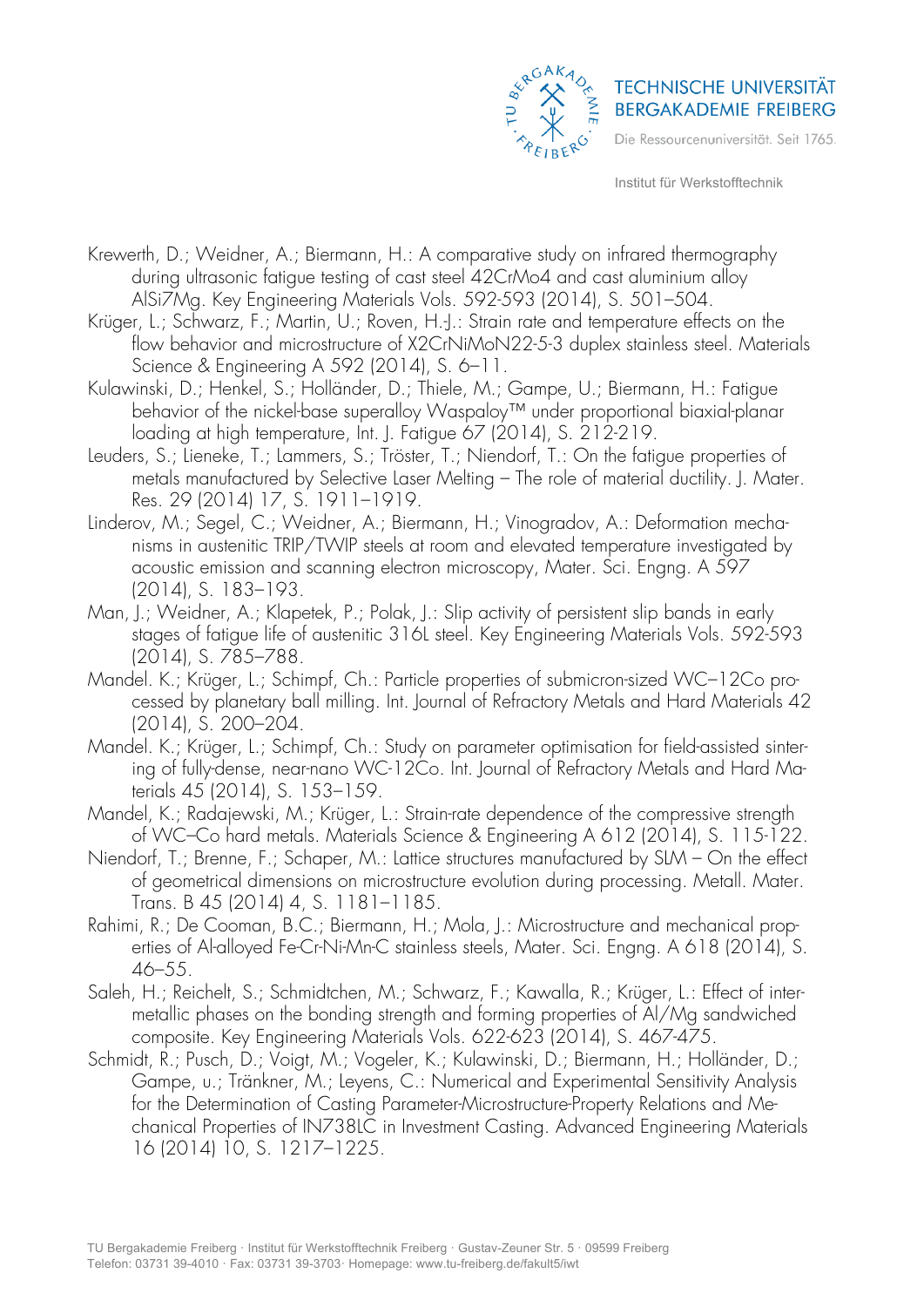

- Krewerth, D.; Weidner, A.; Biermann, H.: A comparative study on infrared thermography during ultrasonic fatigue testing of cast steel 42CrMo4 and cast aluminium alloy AlSi7Mg. Key Engineering Materials Vols. 592-593 (2014), S. 501–504.
- Krüger, L.; Schwarz, F.; Martin, U.; Roven, H.-J.: Strain rate and temperature effects on the flow behavior and microstructure of X2CrNiMoN22-5-3 duplex stainless steel. Materials Science & Engineering A 592 (2014), S. 6–11.
- Kulawinski, D.; Henkel, S.; Holländer, D.; Thiele, M.; Gampe, U.; Biermann, H.: Fatigue behavior of the nickel-base superalloy Waspaloy™ under proportional biaxial-planar loading at high temperature, Int. J. Fatigue 67 (2014), S. 212-219.
- Leuders, S.; Lieneke, T.; Lammers, S.; Tröster, T.; Niendorf, T.: On the fatigue properties of metals manufactured by Selective Laser Melting – The role of material ductility. J. Mater. Res. 29 (2014) 17, S. 1911–1919.
- Linderov, M.; Segel, C.; Weidner, A.; Biermann, H.; Vinogradov, A.: Deformation mechanisms in austenitic TRIP/TWIP steels at room and elevated temperature investigated by acoustic emission and scanning electron microscopy, Mater. Sci. Engng. A 597 (2014), S. 183–193.
- Man, J.; Weidner, A.; Klapetek, P.; Polak, J.: Slip activity of persistent slip bands in early stages of fatigue life of austenitic 316L steel. Key Engineering Materials Vols. 592-593 (2014), S. 785–788.
- Mandel. K.; Krüger, L.; Schimpf, Ch.: Particle properties of submicron-sized WC–12Co processed by planetary ball milling. Int. Journal of Refractory Metals and Hard Materials 42 (2014), S. 200–204.
- Mandel. K.; Krüger, L.; Schimpf, Ch.: Study on parameter optimisation for field-assisted sintering of fully-dense, near-nano WC-12Co. Int. Journal of Refractory Metals and Hard Materials 45 (2014), S. 153–159.
- Mandel, K.; Radajewski, M.; Krüger, L.: Strain-rate dependence of the compressive strength of WC–Co hard metals. Materials Science & Engineering A 612 (2014), S. 115-122.
- Niendorf, T.; Brenne, F.; Schaper, M.: Lattice structures manufactured by SLM On the effect of geometrical dimensions on microstructure evolution during processing. Metall. Mater. Trans. B 45 (2014) 4, S. 1181–1185.
- Rahimi, R.; De Cooman, B.C.; Biermann, H.; Mola, J.: Microstructure and mechanical properties of Al-alloyed Fe-Cr-Ni-Mn-C stainless steels, Mater. Sci. Engng. A 618 (2014), S. 46–55.
- Saleh, H.; Reichelt, S.; Schmidtchen, M.; Schwarz, F.; Kawalla, R.; Krüger, L.: Effect of intermetallic phases on the bonding strength and forming properties of Al/Mg sandwiched composite. Key Engineering Materials Vols. 622-623 (2014), S. 467-475.
- Schmidt, R.; Pusch, D.; Voigt, M.; Vogeler, K.; Kulawinski, D.; Biermann, H.; Holländer, D.; Gampe, u.; Tränkner, M.; Leyens, C.: Numerical and Experimental Sensitivity Analysis for the Determination of Casting Parameter-Microstructure-Property Relations and Mechanical Properties of IN738LC in Investment Casting. Advanced Engineering Materials 16 (2014) 10, S. 1217–1225.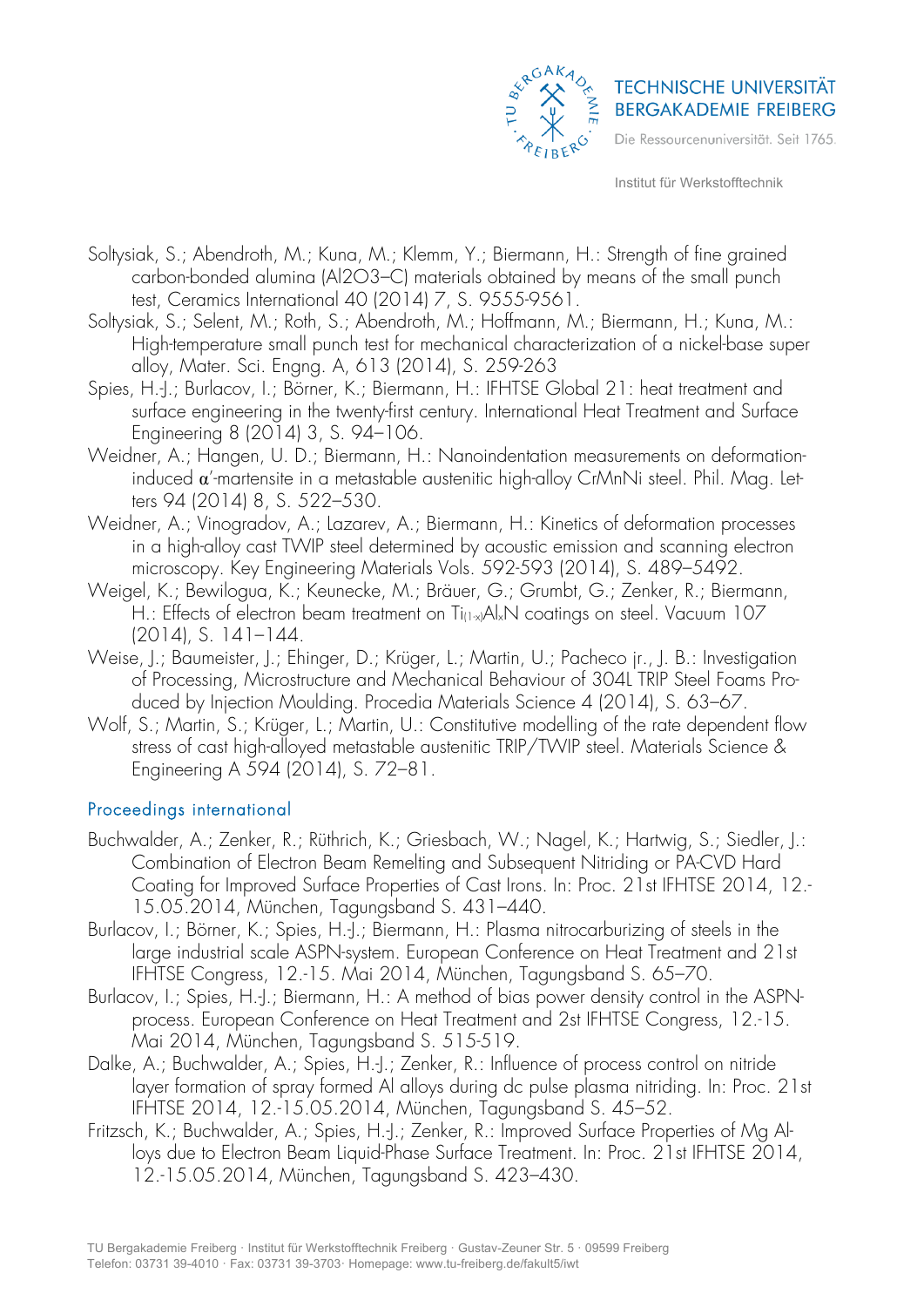

- Soltysiak, S.; Abendroth, M.; Kuna, M.; Klemm, Y.; Biermann, H.: Strength of fine grained carbon-bonded alumina (Al2O3–C) materials obtained by means of the small punch test, Ceramics International 40 (2014) 7, S. 9555-9561.
- Soltysiak, S.; Selent, M.; Roth, S.; Abendroth, M.; Hoffmann, M.; Biermann, H.; Kuna, M.: High-temperature small punch test for mechanical characterization of a nickel-base super alloy, Mater. Sci. Engng. A, 613 (2014), S. 259-263
- Spies, H.-J.; Burlacov, I.; Börner, K.; Biermann, H.: IFHTSE Global 21: heat treatment and surface engineering in the twenty-first century. International Heat Treatment and Surface Engineering 8 (2014) 3, S. 94–106.
- Weidner, A.; Hangen, U. D.; Biermann, H.: Nanoindentation measurements on deformationinduced  $\alpha'$ -martensite in a metastable austenitic high-alloy CrMnNi steel. Phil. Mag. Letters 94 (2014) 8, S. 522–530.
- Weidner, A.; Vinogradov, A.; Lazarev, A.; Biermann, H.: Kinetics of deformation processes in a high-alloy cast TWIP steel determined by acoustic emission and scanning electron microscopy. Key Engineering Materials Vols. 592-593 (2014), S. 489–5492.
- Weigel, K.; Bewilogua, K.; Keunecke, M.; Bräuer, G.; Grumbt, G.; Zenker, R.; Biermann, H.: Effects of electron beam treatment on Ti<sub>(1xi</sub>Al<sub>x</sub>N coatings on steel. Vacuum 107 (2014), S. 141–144.
- Weise, J.; Baumeister, J.; Ehinger, D.; Krüger, L.; Martin, U.; Pacheco jr., J. B.: Investigation of Processing, Microstructure and Mechanical Behaviour of 304L TRIP Steel Foams Produced by Injection Moulding. Procedia Materials Science 4 (2014), S. 63–67.
- Wolf, S.; Martin, S.; Krüger, L.; Martin, U.: Constitutive modelling of the rate dependent flow stress of cast high-alloyed metastable austenitic TRIP/TWIP steel. Materials Science & Engineering A 594 (2014), S. 72–81.

### Proceedings international

- Buchwalder, A.; Zenker, R.; Rüthrich, K.; Griesbach, W.; Nagel, K.; Hartwig, S.; Siedler, J.: Combination of Electron Beam Remelting and Subsequent Nitriding or PA-CVD Hard Coating for Improved Surface Properties of Cast Irons. In: Proc. 21st IFHTSE 2014, 12.- 15.05.2014, München, Tagungsband S. 431–440.
- Burlacov, I.; Börner, K.; Spies, H.-J.; Biermann, H.: Plasma nitrocarburizing of steels in the large industrial scale ASPN-system. European Conference on Heat Treatment and 21st IFHTSE Congress, 12.-15. Mai 2014, München, Tagungsband S. 65–70.
- Burlacov, I.; Spies, H.-I.; Biermann, H.: A method of bias power density control in the ASPNprocess. European Conference on Heat Treatment and 2st IFHTSE Congress, 12.-15. Mai 2014, München, Tagungsband S. 515-519.
- Dalke, A.; Buchwalder, A.; Spies, H.-J.; Zenker, R.: Influence of process control on nitride layer formation of spray formed Al alloys during dc pulse plasma nitriding. In: Proc. 21st IFHTSE 2014, 12.-15.05.2014, München, Tagungsband S. 45–52.
- Fritzsch, K.: Buchwalder, A.: Spies, H.-J.: Zenker, R.: Improved Surface Properties of Mg Alloys due to Electron Beam Liquid-Phase Surface Treatment. In: Proc. 21st IFHTSE 2014, 12.-15.05.2014, München, Tagungsband S. 423–430.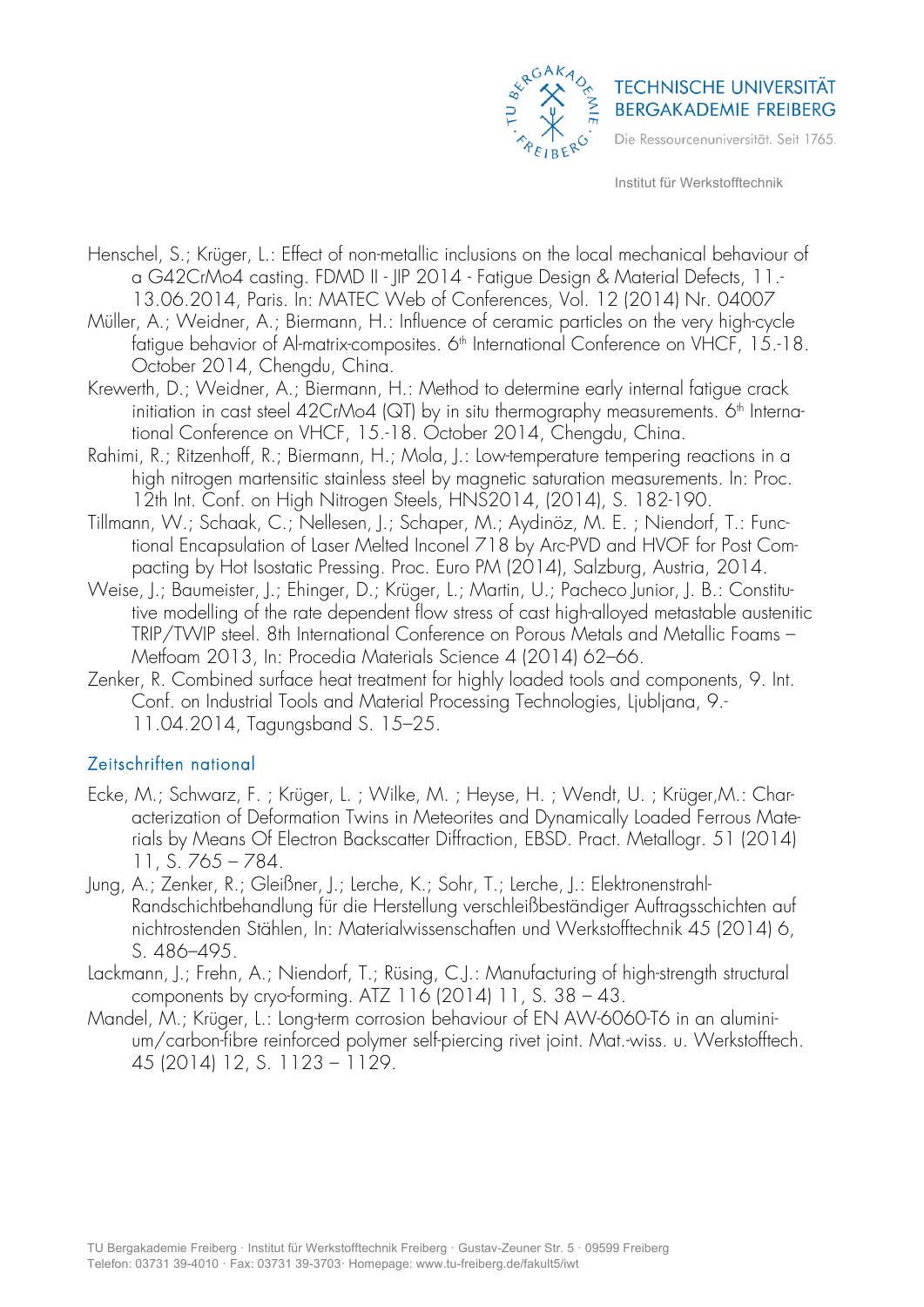

- Henschel, S.; Krüger, L.: Effect of non-metallic inclusions on the local mechanical behaviour of a G42CrMo4 casting. FDMD II - JIP 2014 - Fatigue Design & Material Defects, 11.- 13.06.2014, Paris. In: MATEC Web of Conferences, Vol. 12 (2014) Nr. 04007
- Müller, A.; Weidner, A.; Biermann, H.: Influence of ceramic particles on the very high-cycle fatique behavior of Al-matrix-composites. 6<sup>th</sup> International Conference on VHCF, 15.-18. October 2014, Chengdu, Ching.
- Krewerth, D.; Weidner, A.; Biermann, H.: Method to determine early internal fatigue crack initiation in cast steel  $42Cr$ Mo4 (QT) by in situ thermography measurements.  $6<sup>th</sup>$  International Conference on VHCF, 15.-18. October 2014, Chengdu, China.
- Rahimi, R.; Ritzenhoff, R.; Biermann, H.; Mola, J.: Low-temperature tempering reactions in a high nitrogen martensitic stainless steel by magnetic saturation measurements. In: Proc. 12th Int. Conf. on High Nitrogen Steels, HNS2014, (2014), S. 182-190.
- Tillmann, W.; Schaak, C.; Nellesen, J.; Schaper, M.; Aydinöz, M. E. ; Niendorf, T.: Functional Encapsulation of Laser Melted Inconel 718 by Arc-PVD and HVOF for Post Compacting by Hot Isostatic Pressing. Proc. Euro PM (2014), Salzburg, Austria, 2014.
- Weise, J.; Baumeister, J.; Ehinger, D.; Krüger, L.; Martin, U.; Pacheco Junior, J. B.: Constitutive modelling of the rate dependent flow stress of cast high-alloyed metastable austenitic TRIP/TWIP steel. 8th International Conference on Porous Metals and Metallic Foams – Metfoam 2013, In: Procedia Materials Science 4 (2014) 62–66.
- Zenker, R. Combined surface heat treatment for highly loaded tools and components, 9. Int. Conf. on Industrial Tools and Material Processing Technologies, Ljubljana, 9.- 11.04.2014, Tagungsband S. 15–25.

### Zeitschriften national

- Ecke, M.; Schwarz, F. ; Krüger, L. ; Wilke, M. ; Heyse, H. ; Wendt, U. ; Krüger,M.: Characterization of Deformation Twins in Meteorites and Dynamically Loaded Ferrous Materials by Means Of Electron Backscatter Diffraction, EBSD. Pract. Metallogr. 51 (2014) 11, S. 765 – 784.
- Jung, A.; Zenker, R.; Gleißner, J.; Lerche, K.; Sohr, T.; Lerche, J.: Elektronenstrahl-Randschichtbehandlung für die Herstellung verschleißbeständiger Auftragsschichten auf nichtrostenden Stählen, In: Materialwissenschaften und Werkstofftechnik 45 (2014) 6, S. 486–495.
- Lackmann, J.; Frehn, A.; Niendorf, T.; Rüsing, C.J.: Manufacturing of high-strength structural components by cryo-forming. ATZ 116 (2014) 11, S. 38 – 43.
- Mandel, M.; Krüger, L.: Long-term corrosion behaviour of EN AW-6060-T6 in an aluminium/carbon-fibre reinforced polymer self-piercing rivet joint. Mat.-wiss. u. Werkstofftech. 45 (2014) 12, S. 1123 – 1129.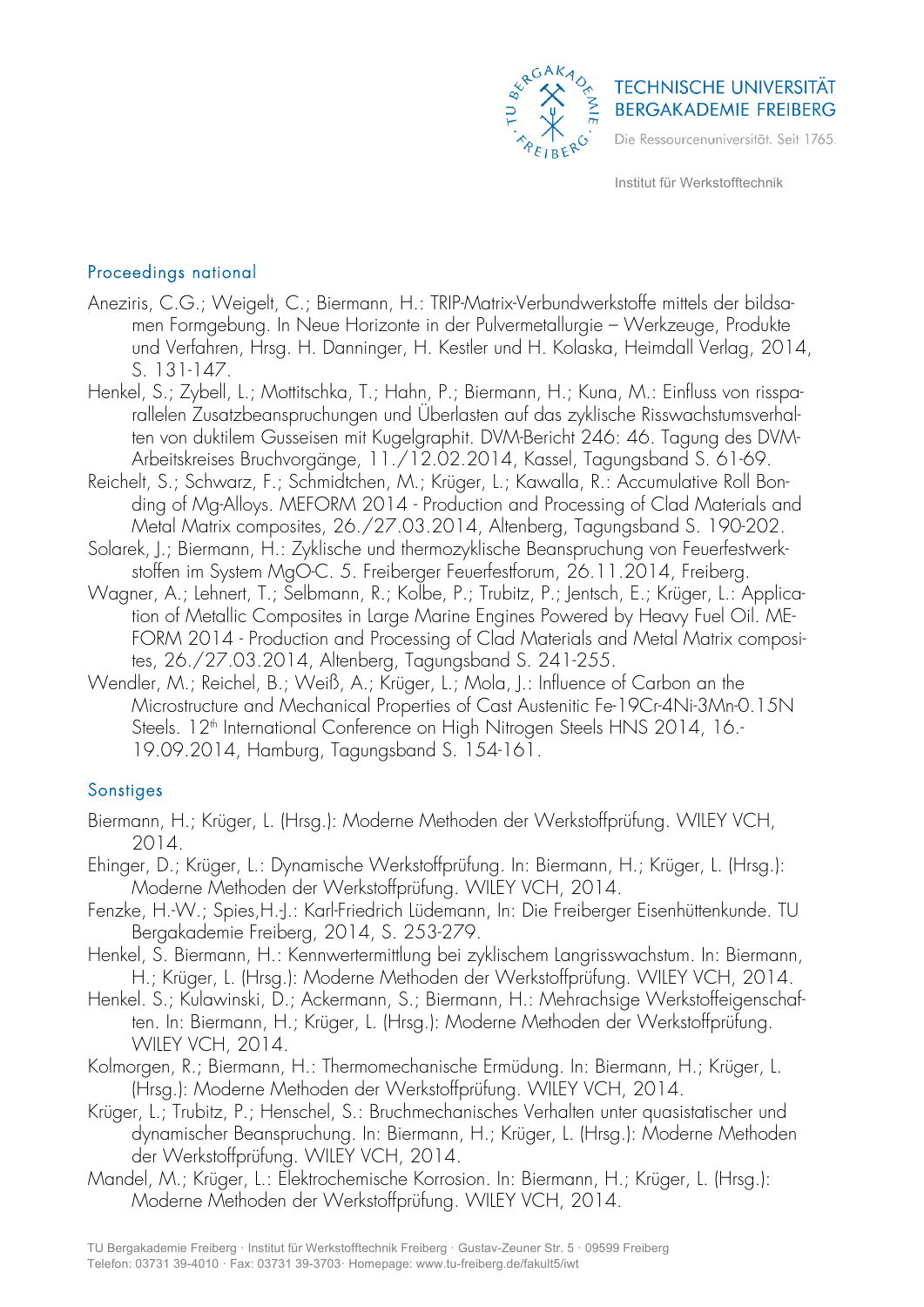

## Proceedings national

- Aneziris, C.G.; Weigelt, C.; Biermann, H.: TRIP-Matrix-Verbundwerkstoffe mittels der bildsamen Formgebung. In Neue Horizonte in der Pulvermetallurgie – Werkzeuge, Produkte und Verfahren, Hrsg. H. Danninger, H. Kestler und H. Kolaska, Heimdall Verlag, 2014, S. 131-147.
- Henkel, S.; Zybell, L.; Mottitschka, T.; Hahn, P.; Biermann, H.; Kuna, M.: Einfluss von rissparallelen Zusatzbeanspruchungen und Überlasten auf das zyklische Risswachstumsverhalten von duktilem Gusseisen mit Kugelgraphit. DVM-Bericht 246: 46. Tagung des DVM-Arbeitskreises Bruchvorgänge, 11./12.02.2014, Kassel, Tagungsband S. 61-69.
- Reichelt, S.; Schwarz, F.; Schmidtchen, M.; Krüger, L.; Kawalla, R.: Accumulative Roll Bonding of Mg-Alloys. MEFORM 2014 - Production and Processing of Clad Materials and Metal Matrix composites, 26./27.03.2014, Altenberg, Tagungsband S. 190-202.
- Solarek, J.; Biermann, H.: Zyklische und thermozyklische Beanspruchung von Feuerfestwerkstoffen im System MgO-C. 5. Freiberger Feuerfestforum, 26.11.2014, Freiberg.
- Wagner, A.; Lehnert, T.; Selbmann, R.; Kolbe, P.; Trubitz, P.; Jentsch, E.; Krüger, L.: Application of Metallic Composites in Large Marine Engines Powered by Heavy Fuel Oil. ME-FORM 2014 - Production and Processing of Clad Materials and Metal Matrix composites, 26./27.03.2014, Altenberg, Tagungsband S. 241-255.
- Wendler, M.; Reichel, B.; Weiß, A.; Krüger, L.; Mola, J.: Influence of Carbon an the Microstructure and Mechanical Properties of Cast Austenitic Fe-19Cr-4Ni-3Mn-0.15N Steels. 12<sup>th</sup> International Conference on High Nitrogen Steels HNS 2014, 16.-19.09.2014, Hamburg, Tagungsband S. 154-161.

### **Sonstiges**

- Biermann, H.; Krüger, L. (Hrsg.): Moderne Methoden der Werkstoffprüfung. WILEY VCH, 2014.
- Ehinger, D.; Krüger, L.: Dynamische Werkstoffprüfung. In: Biermann, H.; Krüger, L. (Hrsg.): Moderne Methoden der Werkstoffprüfung. WILEY VCH, 2014.
- Fenzke, H.-W.; Spies,H.-J.: Karl-Friedrich Lüdemann, In: Die Freiberger Eisenhüttenkunde. TU Bergakademie Freiberg, 2014, S. 253-279.
- Henkel, S. Biermann, H.: Kennwertermittlung bei zyklischem Langrisswachstum. In: Biermann, H.; Krüger, L. (Hrsg.): Moderne Methoden der Werkstoffprüfung. WILEY VCH, 2014.
- Henkel. S.; Kulawinski, D.; Ackermann, S.; Biermann, H.: Mehrachsige Werkstoffeigenschaften. In: Biermann, H.; Krüger, L. (Hrsg.): Moderne Methoden der Werkstoffprüfung. WILEY VCH, 2014.
- Kolmorgen, R.; Biermann, H.: Thermomechanische Ermüdung. In: Biermann, H.; Krüger, L. (Hrsg.): Moderne Methoden der Werkstoffprüfung. WILEY VCH, 2014.
- Krüger, L.; Trubitz, P.; Henschel, S.: Bruchmechanisches Verhalten unter quasistatischer und dynamischer Beanspruchung. In: Biermann, H.; Krüger, L. (Hrsg.): Moderne Methoden der Werkstoffprüfung. WILEY VCH, 2014.
- Mandel, M.; Krüger, L.: Elektrochemische Korrosion. In: Biermann, H.; Krüger, L. (Hrsg.): Moderne Methoden der Werkstoffprüfung. WILEY VCH, 2014.